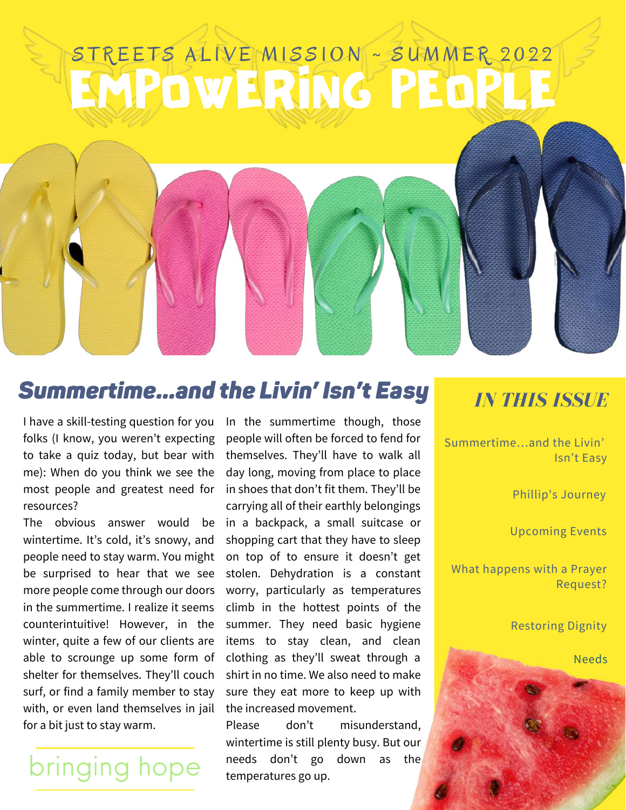# EMPOWERING PEOPLE  $\tt{STREETS}$  ALIVE $\rm{[MLSS1ON]}$  ~ SUMMER 2022

#### *Summertime…and the Livin' Isn't Easy*

I have a skill-testing question for you folks (I know, you weren't expecting to take a quiz today, but bear with me): When do you think we see the most people and greatest need for resources?

The obvious answer would be wintertime. It's cold, it's snowy, and people need to stay warm. You might be surprised to hear that we see more people come through our doors in the summertime. I realize it seems counterintuitive! However, in the winter, quite a few of our clients are able to scrounge up some form of shelter for themselves. They'll couch surf, or find a family member to stay with, or even land themselves in jail for a bit just to stay warm.

## bringing hope

In the summertime though, those people will often be forced to fend for themselves. They'll have to walk all day long, moving from place to place in shoes that don't fit them. They'll be carrying all of their earthly belongings in a backpack, a small suitcase or shopping cart that they have to sleep on top of to ensure it doesn't get stolen. Dehydration is a constant worry, particularly as temperatures climb in the hottest points of the summer. They need basic hygiene items to stay clean, and clean clothing as they'll sweat through a shirt in no time. We also need to make sure they eat more to keep up with the increased movement.

Please don't misunderstand, wintertime is still plenty busy. But our needs don't go down as the temperatures go up.

#### *IN THIS ISSUE*

Summertime…and the Livin' Isn't Easy

Phillip's Journey

Upcoming Events

What happens with a Prayer Request?

Restoring Dignity

Needs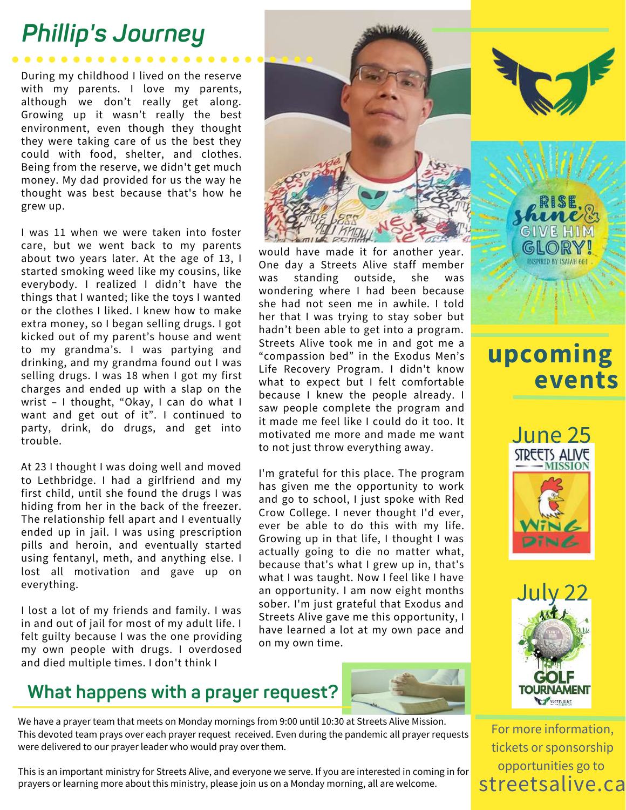## *Phillip's Journey*

During my childhood I lived on the reserve with my parents. I love my parents, although we don't really get along. Growing up it wasn't really the best environment, even though they thought they were taking care of us the best they could with food, shelter, and clothes. Being from the reserve, we didn't get much money. My dad provided for us the way he thought was best because that's how he grew up.

I was 11 when we were taken into foster care, but we went back to my parents about two years later. At the age of 13, I started smoking weed like my cousins, like everybody. I realized I didn't have the things that I wanted; like the toys I wanted or the clothes I liked. I knew how to make extra money, so I began selling drugs. I got kicked out of my parent's house and went to my grandma's. I was partying and drinking, and my grandma found out I was selling drugs. I was 18 when I got my first charges and ended up with a slap on the wrist – I thought, "Okay, I can do what I want and get out of it". I continued to party, drink, do drugs, and get into trouble.

At 23 I thought I was doing well and moved to Lethbridge. I had a girlfriend and my first child, until she found the drugs I was hiding from her in the back of the freezer. The relationship fell apart and I eventually ended up in jail. I was using prescription pills and heroin, and eventually started using fentanyl, meth, and anything else. I lost all motivation and gave up on everything.

I lost a lot of my friends and family. I was in and out of jail for most of my adult life. I felt guilty because I was the one providing my own people with drugs. I overdosed and died multiple times. I don't think I



would have made it for another year. One day a Streets Alive staff member was standing outside, she was wondering where I had been because she had not seen me in awhile. I told her that I was trying to stay sober but hadn't been able to get into a program. Streets Alive took me in and got me a "compassion bed" in the Exodus Men's Life Recovery Program. I didn't know what to expect but I felt comfortable because I knew the people already. I saw people complete the program and it made me feel like I could do it too. It motivated me more and made me want to not just throw everything away.

I'm grateful for this place. The program has given me the opportunity to work and go to school, I just spoke with Red Crow College. I never thought I'd ever, ever be able to do this with my life. Growing up in that life, I thought I was actually going to die no matter what, because that's what I grew up in, that's what I was taught. Now I feel like I have an opportunity. I am now eight months sober. I'm just grateful that Exodus and Streets Alive gave me this opportunity, I have learned a lot at my own pace and on my own time.



#### **What happens with a prayer request?**

We have a prayer team that meets on Monday mornings from 9:00 until 10:30 at Streets Alive Mission. This devoted team prays over each prayer request received. Even during the pandemic all prayer requests were delivered to our prayer leader who would pray over them.

This is an important ministry for Streets Alive, and everyone we serve. If you are interested in coming in for prayers or learning more about this ministry, please join us on a Monday morning, all are welcome.



### **upcoming events**





For more information, tickets or sponsorship opportunities go to streetsalive.ca